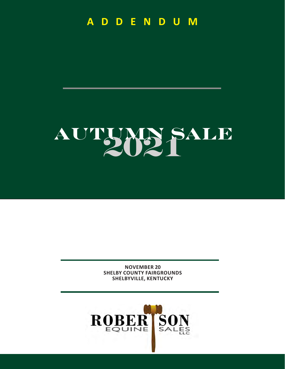**A D D E N D U M**

# AUTUMN SALE

**NOVEMBER 20 SHELBY COUNTY FAIRGROUNDS SHELBYVILLE, KENTUCKY**

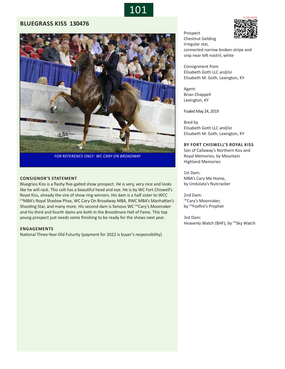

## **BLUEGRASS KISS 130476**



*FOR REFERENCE ONLY: WC CARY ON BROADWAY*

#### **CONSIGNOR'S STATEMENT**

Bluegrass Kiss is a flashy five-gaited show prospect. He is very, very nice and looks like he will rack. This colt has a beautiful head and eye. He is by WC Fort Chiswell's Royal Kiss, already the sire of show ring winners. His dam is a half sister to WCC CHMBA's Royal Shadow Phax, WC Cary On Broadway MBA, RWC MBA's Manhattan's Shooting Star, and many more. His second dam is famous WC CHCary's Moonraker and his third and fourth dams are both in the Broodmare Hall of Fame. This top young prospect just needs some finishing to be ready for the shows next year.

#### **ENGAGEMENTS**

National Three-Year-Old Futurity (payment for 2022 is buyer's responsibility)



Consignment from Elisabeth Goth LLC and/or Elisabeth M. Goth, Lexington, KY

Agent: Brian Chappell Lexington, KY

Foaled May 24, 2019

Bred by Elisabeth Goth LLC and/or Elisabeth M. Goth, Lexington, KY

#### **BY FORT CHISWELL'S ROYAL KISS**

Son of Callaway's Northern Kiss and Royal Memories, by Mountain Highland Memories

1st Dam: MBA's Cary Me Home, by Undulata's Nutcracker

2nd Dam: CHCary's Moonraker, by CHFoxfire's Prophet

3rd Dam: Heavenly Watch (BHF), by CHSky Watch

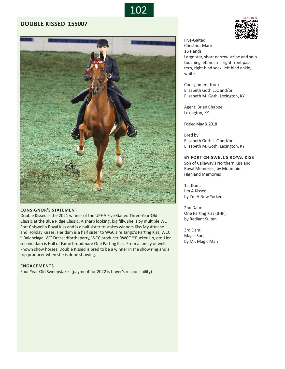

# **DOUBLE KISSED 155007**



#### **CONSIGNOR'S STATEMENT**

Double Kissed is the 2021 winner of the UPHA Five-Gaited Three-Year-Old Classic at the Blue Ridge Classic. A sharp looking, big filly, she is by multiple WC Fort Chiswell's Royal Kiss and is a half sister to stakes winners Kiss My Attache and Holiday Kisses. Her dam is a half sister to WGC sire Tango's Parting Kiss, WCC CHBalenciaga, WC Dressedfortheparty, WCC producer RWCC CHPucker Up, etc. Her second dam is Hall of Fame broodmare One Parting Kiss. From a family of wellknown show horses, Double Kissed is bred to be a winner in the show ring and a top producer when she is done showing.

#### **ENGAGEMENTS**

Four-Year-Old Sweepstakes (payment for 2022 is buyer's responsibility)



Five-Gaited Chestnut Mare 16 Hands Large star, short narrow stripe and snip touching left nostril, right front pastern, right hind sock, left hind ankle, white

Consignment from Elisabeth Goth LLC and/or Elisabeth M. Goth, Lexington, KY

Agent: Brian Chappell Lexington, KY

Foaled May 8, 2018

Bred by Elisabeth Goth LLC and/or Elisabeth M. Goth, Lexington, KY

#### **BY FORT CHISWELL'S ROYAL KISS**

Son of Callaway's Northern Kiss and Royal Memories, by Mountain Highland Memories

1st Dam: I'm A Kisser, by I'm A New Yorker

2nd Dam: One Parting Kiss (BHF), by Radiant Sultan

3rd Dam: Magic Sue, by Mr. Magic Man